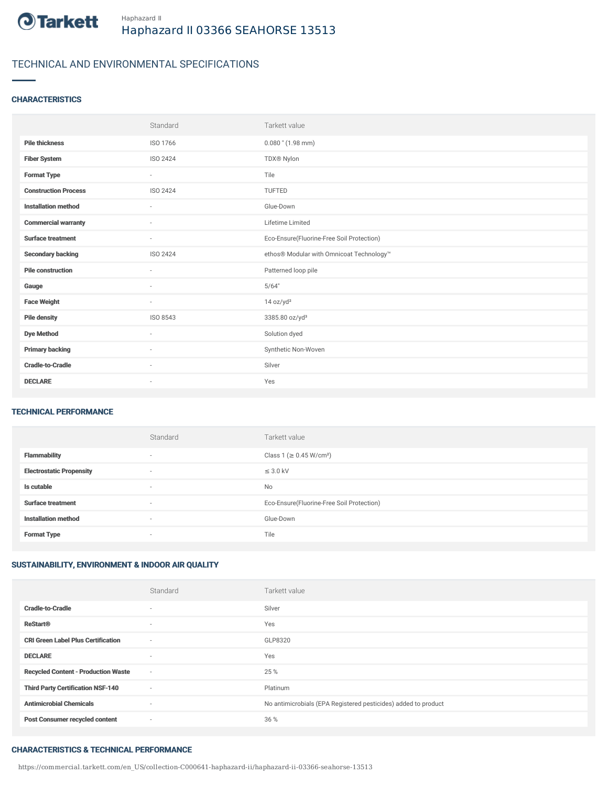

## TECHNICAL AND ENVIRONMENTAL SPECIFICATIONS

### **CHARACTERISTICS**

|                             | Standard                 | Tarkett value                             |
|-----------------------------|--------------------------|-------------------------------------------|
| <b>Pile thickness</b>       | ISO 1766                 | $0.080$ " $(1.98$ mm)                     |
| <b>Fiber System</b>         | ISO 2424                 | TDX® Nylon                                |
| <b>Format Type</b>          | $\sim$                   | Tile                                      |
| <b>Construction Process</b> | ISO 2424                 | TUFTED                                    |
| <b>Installation method</b>  | $\overline{\phantom{a}}$ | Glue-Down                                 |
| <b>Commercial warranty</b>  | $\sim$                   | Lifetime Limited                          |
| <b>Surface treatment</b>    | $\sim$                   | Eco-Ensure(Fluorine-Free Soil Protection) |
| <b>Secondary backing</b>    | ISO 2424                 | ethos® Modular with Omnicoat Technology™  |
| <b>Pile construction</b>    | $\sim$                   | Patterned loop pile                       |
| Gauge                       | ٠                        | 5/64"                                     |
| <b>Face Weight</b>          | $\overline{\phantom{a}}$ | 14 oz/yd <sup>2</sup>                     |
| <b>Pile density</b>         | ISO 8543                 | 3385.80 oz/yd <sup>3</sup>                |
| <b>Dye Method</b>           | ٠                        | Solution dyed                             |
| <b>Primary backing</b>      | ٠                        | Synthetic Non-Woven                       |
| <b>Cradle-to-Cradle</b>     | $\sim$                   | Silver                                    |
| <b>DECLARE</b>              | $\overline{\phantom{a}}$ | Yes                                       |

#### TECHNICAL PERFORMANCE

|                                 | Standard                 | Tarkett value                             |
|---------------------------------|--------------------------|-------------------------------------------|
| <b>Flammability</b>             | $\overline{\phantom{a}}$ | Class 1 (≥ 0.45 W/cm <sup>2</sup> )       |
| <b>Electrostatic Propensity</b> | $\overline{\phantom{a}}$ | $\leq$ 3.0 kV                             |
| Is cutable                      | $\overline{\phantom{a}}$ | No                                        |
| <b>Surface treatment</b>        | $\sim$                   | Eco-Ensure(Fluorine-Free Soil Protection) |
| <b>Installation method</b>      | $\overline{\phantom{a}}$ | Glue-Down                                 |
| <b>Format Type</b>              | $\overline{\phantom{a}}$ | Tile                                      |

## SUSTAINABILITY, ENVIRONMENT & INDOOR AIR QUALITY

|                                            | Standard                 | Tarkett value                                                  |
|--------------------------------------------|--------------------------|----------------------------------------------------------------|
| <b>Cradle-to-Cradle</b>                    | $\overline{\phantom{a}}$ | Silver                                                         |
| <b>ReStart®</b>                            | $\overline{\phantom{a}}$ | Yes                                                            |
| <b>CRI Green Label Plus Certification</b>  | $\overline{\phantom{a}}$ | GLP8320                                                        |
| <b>DECLARE</b>                             | $\overline{\phantom{a}}$ | Yes                                                            |
| <b>Recycled Content - Production Waste</b> | $\sim$                   | 25 %                                                           |
| <b>Third Party Certification NSF-140</b>   | $\sim$                   | Platinum                                                       |
| <b>Antimicrobial Chemicals</b>             | $\sim$                   | No antimicrobials (EPA Registered pesticides) added to product |
| <b>Post Consumer recycled content</b>      | $\overline{\phantom{a}}$ | 36 %                                                           |

#### CHARACTERISTICS & TECHNICAL PERFORMANCE